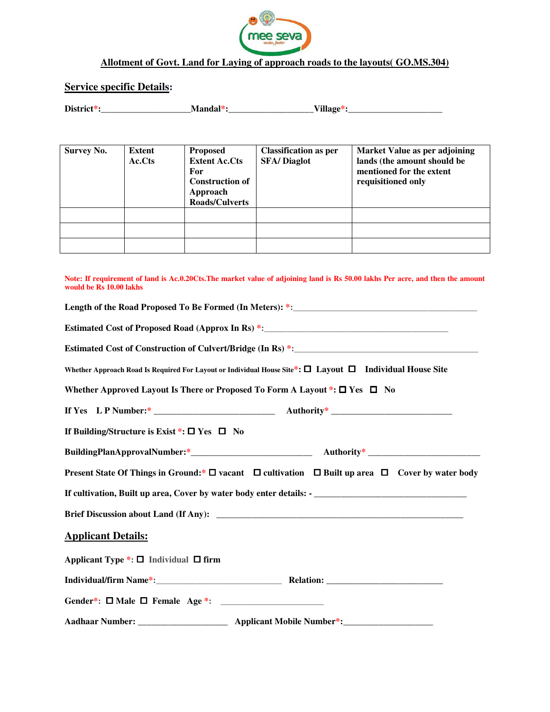

## **Allotment of Govt. Land for Laying of approach roads to the layouts( GO.MS.304)**

# **Service specific Details**:

| Disti<br>.<br>otvi oti |   | T T 1 T |
|------------------------|---|---------|
| ю.                     | . |         |

| <b>Survey No.</b> | Extent<br>Ac.Cts | <b>Proposed</b><br><b>Extent Ac.Cts</b><br>For<br><b>Construction of</b><br>Approach<br><b>Roads/Culverts</b> | <b>Classification as per</b><br><b>SFA/Diaglot</b> | Market Value as per adjoining<br>lands (the amount should be<br>mentioned for the extent<br>requisitioned only |
|-------------------|------------------|---------------------------------------------------------------------------------------------------------------|----------------------------------------------------|----------------------------------------------------------------------------------------------------------------|
|                   |                  |                                                                                                               |                                                    |                                                                                                                |
|                   |                  |                                                                                                               |                                                    |                                                                                                                |
|                   |                  |                                                                                                               |                                                    |                                                                                                                |

| Note: If requirement of land is Ac.0.20Cts. The market value of adjoining land is Rs 50.00 lakhs Per acre, and then the amount<br>would be Rs 10.00 lakhs |
|-----------------------------------------------------------------------------------------------------------------------------------------------------------|
|                                                                                                                                                           |
|                                                                                                                                                           |
|                                                                                                                                                           |
| Whether Approach Road Is Required For Layout or Individual House Site*: □ Layout □ Individual House Site                                                  |
| Whether Approved Layout Is There or Proposed To Form A Layout $\ast: \square$ Yes $\square$ No                                                            |
|                                                                                                                                                           |
| If Building/Structure is Exist *: $\square$ Yes $\square$ No                                                                                              |
|                                                                                                                                                           |
| Present State Of Things in Ground:* $\square$ vacant $\square$ cultivation $\square$ Built up area $\square$ Cover by water body                          |
|                                                                                                                                                           |
|                                                                                                                                                           |
| <b>Applicant Details:</b>                                                                                                                                 |
| Applicant Type $\overline{\ast}$ : $\Box$ Individual $\Box$ firm                                                                                          |
|                                                                                                                                                           |
|                                                                                                                                                           |
|                                                                                                                                                           |